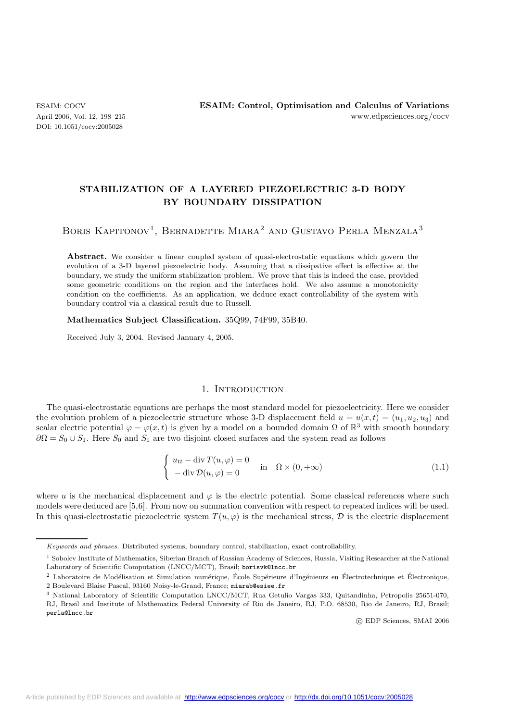DOI: 10.1051/cocv:2005028

# **STABILIZATION OF A LAYERED PIEZOELECTRIC 3-D BODY BY BOUNDARY DISSIPATION**

BORIS KAPITONOV<sup>1</sup>, BERNADETTE MIARA<sup>2</sup> AND GUSTAVO PERLA MENZALA<sup>3</sup>

Abstract. We consider a linear coupled system of quasi-electrostatic equations which govern the evolution of a 3-D layered piezoelectric body. Assuming that a dissipative effect is effective at the boundary, we study the uniform stabilization problem. We prove that this is indeed the case, provided some geometric conditions on the region and the interfaces hold. We also assume a monotonicity condition on the coefficients. As an application, we deduce exact controllability of the system with boundary control via a classical result due to Russell.

**Mathematics Subject Classification.** 35Q99, 74F99, 35B40.

Received July 3, 2004. Revised January 4, 2005.

## 1. INTRODUCTION

The quasi-electrostatic equations are perhaps the most standard model for piezoelectricity. Here we consider the evolution problem of a piezoelectric structure whose 3-D displacement field  $u = u(x,t) = (u_1, u_2, u_3)$  and scalar electric potential  $\varphi = \varphi(x, t)$  is given by a model on a bounded domain  $\Omega$  of  $\mathbb{R}^3$  with smooth boundary  $\partial\Omega = S_0 \cup S_1$ . Here  $S_0$  and  $S_1$  are two disjoint closed surfaces and the system read as follows

$$
\begin{cases}\n u_{tt} - \operatorname{div} T(u, \varphi) = 0 \\
 - \operatorname{div} \mathcal{D}(u, \varphi) = 0\n\end{cases}\n\text{ in }\n\Omega \times (0, +\infty)
$$
\n(1.1)

where u is the mechanical displacement and  $\varphi$  is the electric potential. Some classical references where such models were deduced are [5,6]. From now on summation convention with respect to repeated indices will be used. In this quasi-electrostatic piezoelectric system  $T(u, \varphi)$  is the mechanical stress,  $\mathcal D$  is the electric displacement

c EDP Sciences, SMAI 2006

Keywords and phrases. Distributed systems, boundary control, stabilization, exact controllability.

<sup>1</sup> Sobolev Institute of Mathematics, Siberian Branch of Russian Academy of Sciences, Russia, Visiting Researcher at the National Laboratory of Scientific Computation (LNCC/MCT), Brasil; borisvk@lncc.br

 $2$  Laboratoire de Modélisation et Simulation numérique, École Supérieure d'Ingénieurs en Électrotechnique et Électronique, 2 Boulevard Blaise Pascal, 93160 Noisy-le-Grand, France; miarab@esiee.fr

<sup>3</sup> National Laboratory of Scientific Computation LNCC/MCT, Rua Getulio Vargas 333, Quitandinha, Petropolis 25651-070, RJ, Brasil and Institute of Mathematics Federal University of Rio de Janeiro, RJ, P.O. 68530, Rio de Janeiro, RJ, Brasil; perla@lncc.br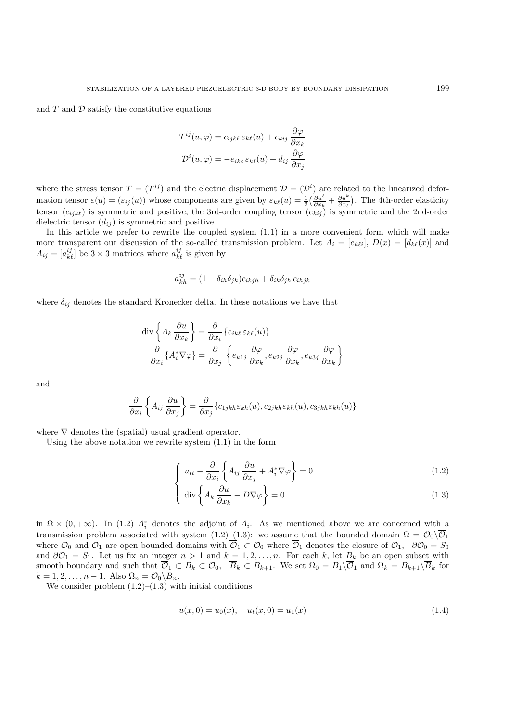and  $T$  and  $D$  satisfy the constitutive equations

$$
T^{ij}(u,\varphi) = c_{ijk\ell} \,\varepsilon_{k\ell}(u) + e_{kij} \frac{\partial \varphi}{\partial x_k}
$$

$$
\mathcal{D}^i(u,\varphi) = -e_{ik\ell} \,\varepsilon_{k\ell}(u) + d_{ij} \frac{\partial \varphi}{\partial x_j}
$$

where the stress tensor  $T = (T^{ij})$  and the electric displacement  $\mathcal{D} = (\mathcal{D}^i)$  are related to the linearized deformation tensor  $\varepsilon(u) = (\varepsilon_{ij}(u))$  whose components are given by  $\varepsilon_{k\ell}(u) = \frac{1}{2} \left( \frac{\partial u^{\ell}}{\partial x_k} + \frac{\partial u^k}{\partial x_\ell} \right)$  . The 4th-order elasticity tensor  $(c_{ijk}\ell)$  is symmetric and positive, the 3rd-order coupling tensor  $(e_{kij})$  is symmetric and the 2nd-order dielectric tensor  $(d_{ij})$  is symmetric and positive.

In this article we prefer to rewrite the coupled system (1.1) in a more convenient form which will make more transparent our discussion of the so-called transmission problem. Let  $A_i = [e_{k\ell i}], D(x)=[d_{k\ell}(x)]$  and  $A_{ij} = [a_{k\ell}^{ij}]$  be  $3 \times 3$  matrices where  $a_{k\ell}^{ij}$  is given by

$$
a_{kh}^{ij} = (1 - \delta_{ih}\delta_{jk})c_{ikjh} + \delta_{ik}\delta_{jh}c_{ihjk}
$$

where  $\delta_{ij}$  denotes the standard Kronecker delta. In these notations we have that

$$
\operatorname{div}\left\{A_{k}\frac{\partial u}{\partial x_{k}}\right\} = \frac{\partial}{\partial x_{i}}\left\{e_{ik\ell}\varepsilon_{k\ell}(u)\right\}
$$

$$
\frac{\partial}{\partial x_{i}}\left\{A_{i}^{*}\nabla\varphi\right\} = \frac{\partial}{\partial x_{j}}\left\{e_{k1j}\frac{\partial\varphi}{\partial x_{k}}, e_{k2j}\frac{\partial\varphi}{\partial x_{k}}, e_{k3j}\frac{\partial\varphi}{\partial x_{k}}\right\}
$$

and

$$
\frac{\partial}{\partial x_i} \left\{ A_{ij} \frac{\partial u}{\partial x_j} \right\} = \frac{\partial}{\partial x_j} \{c_{1jkh} \varepsilon_{kh}(u), c_{2jkh} \varepsilon_{kh}(u), c_{3jkh} \varepsilon_{kh}(u) \}
$$

where  $\nabla$  denotes the (spatial) usual gradient operator.

Using the above notation we rewrite system (1.1) in the form

$$
\left\{ u_{tt} - \frac{\partial}{\partial x_i} \left\{ A_{ij} \frac{\partial u}{\partial x_j} + A_i^* \nabla \varphi \right\} = 0 \right\}
$$
 (1.2)

$$
\left\{ \operatorname{div} \left\{ A_k \frac{\partial u}{\partial x_k} - D \nabla \varphi \right\} = 0 \right\} \tag{1.3}
$$

in  $\Omega \times (0, +\infty)$ . In (1.2)  $A_i^*$  denotes the adjoint of  $A_i$ . As we mentioned above we are concerned with a<br>transmission problem associated with system (1.2) (1.3); we assume that the bounded density  $\Omega = \mathcal{O} \setminus \overline{\mathcal$ transmission problem associated with system (1.2)–(1.3): we assume that the bounded domain  $\Omega = \mathcal{O}_0 \setminus \overline{\mathcal{O}}_1$ where  $\mathcal{O}_0$  and  $\mathcal{O}_1$  are open bounded domains with  $\overline{\mathcal{O}}_1 \subset \mathcal{O}_0$  where  $\overline{\mathcal{O}}_1$  denotes the closure of  $\mathcal{O}_1$ ,  $\partial\mathcal{O}_0 = S_0$ and  $\partial \mathcal{O}_1 = S_1$ . Let us fix an integer  $n > 1$  and  $k = 1, 2, ..., n$ . For each k, let  $B_k$  be an open subset with smooth boundary and such that  $\mathcal{O}_1 \subset B_k \subset \mathcal{O}_0$ ,  $B_k \subset B_{k+1}$ . We set  $\Omega_0 = B_1 \setminus \mathcal{O}_1$  and  $\Omega_k = B_{k+1} \setminus B_k$  for  $k = 1, 2, \ldots, n - 1$ . Also  $\Omega_n = \mathcal{O}_0 \backslash \overline{B}_n$ .

We consider problem  $(1.2)$ – $(1.3)$  with initial conditions

$$
u(x,0) = u_0(x), \quad u_t(x,0) = u_1(x) \tag{1.4}
$$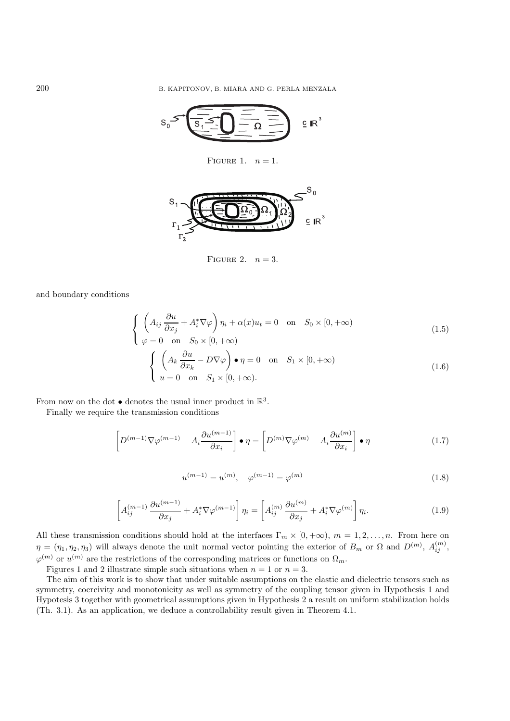$$
S_0 \leq \underbrace{\sqrt{\frac{S_1^2}{S_1^2} \cdot \sum \frac{1}{S_2^2} \cdot \sum \frac{1}{S_3^2}}}_{\subseteq R^3} \cdot \underbrace{\mathbb{E} R^3}
$$

FIGURE 1.  $n = 1$ .



FIGURE 2.  $n = 3$ .

and boundary conditions

$$
\begin{cases}\n\left(A_{ij}\frac{\partial u}{\partial x_j} + A_i^* \nabla \varphi\right) \eta_i + \alpha(x)u_t = 0 \quad \text{on} \quad S_0 \times [0, +\infty) \\
\varphi = 0 \quad \text{on} \quad S_0 \times [0, +\infty) \\
\left(\begin{array}{cc} A, & \partial u \\ C, & D \nabla u \end{array}\right) \bullet x = 0 \quad \text{on} \quad S, \times [0, +\infty)\n\end{cases} \tag{1.5}
$$

$$
\begin{cases} \left( A_k \frac{\partial u}{\partial x_k} - D \nabla \varphi \right) \bullet \eta = 0 & \text{on} \quad S_1 \times [0, +\infty) \\ u = 0 & \text{on} \quad S_1 \times [0, +\infty). \end{cases}
$$
 (1.6)

From now on the dot  $\bullet$  denotes the usual inner product in  $\mathbb{R}^3$ .

Finally we require the transmission conditions

$$
\left[D^{(m-1)}\nabla\varphi^{(m-1)} - A_i \frac{\partial u^{(m-1)}}{\partial x_i}\right] \bullet \eta = \left[D^{(m)}\nabla\varphi^{(m)} - A_i \frac{\partial u^{(m)}}{\partial x_i}\right] \bullet \eta \tag{1.7}
$$

$$
u^{(m-1)} = u^{(m)}, \quad \varphi^{(m-1)} = \varphi^{(m)}
$$
\n(1.8)

$$
\left[A_{ij}^{(m-1)}\frac{\partial u^{(m-1)}}{\partial x_j} + A_i^* \nabla \varphi^{(m-1)}\right] \eta_i = \left[A_{ij}^{(m)}\frac{\partial u^{(m)}}{\partial x_j} + A_i^* \nabla \varphi^{(m)}\right] \eta_i.
$$
 (1.9)

All these transmission conditions should hold at the interfaces  $\Gamma_m \times [0, +\infty)$ ,  $m = 1, 2, ..., n$ . From here on  $\eta = (\eta_1, \eta_2, \eta_3)$  will always denote the unit normal vector pointing the exterior of  $B_m$  or  $\Omega$  and  $D^{(m)}$ ,  $A_{ij}^{(m)}$ ,  $\varphi^{(m)}$  or  $u^{(m)}$  are the restrictions of the corresponding matrices or functions on  $\Omega_m$ .

Figures 1 and 2 illustrate simple such situations when  $n = 1$  or  $n = 3$ .

The aim of this work is to show that under suitable assumptions on the elastic and dielectric tensors such as symmetry, coercivity and monotonicity as well as symmetry of the coupling tensor given in Hypothesis 1 and Hypotesis 3 together with geometrical assumptions given in Hypothesis 2 a result on uniform stabilization holds (Th. 3.1). As an application, we deduce a controllability result given in Theorem 4.1.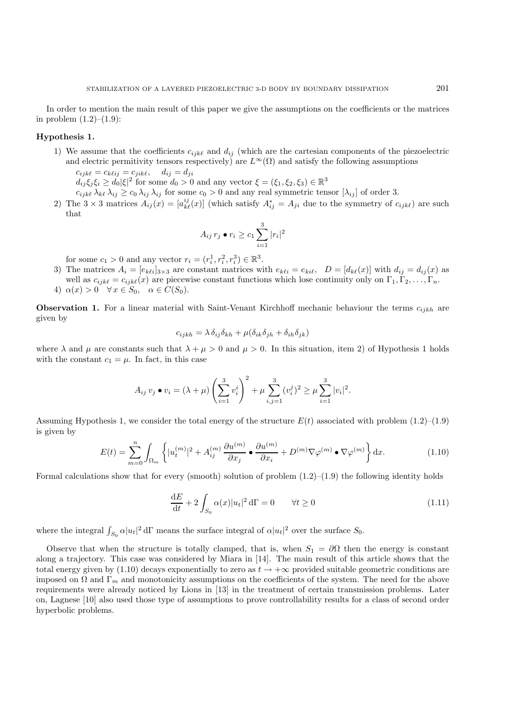In order to mention the main result of this paper we give the assumptions on the coefficients or the matrices in problem  $(1.2)$ – $(1.9)$ :

#### **Hypothesis 1.**

1) We assume that the coefficients  $c_{ijk\ell}$  and  $d_{ij}$  (which are the cartesian components of the piezoelectric and electric permitivity tensors respectively) are  $L^{\infty}(\Omega)$  and satisfy the following assumptions  $c_{ijk\ell} = c_{k\ell ij} = c_{jik\ell}, \quad d_{ij} = d_{ji}$ 

 $d_{ij}\xi_j\xi_i \geq d_0|\xi|^2$  for some  $d_0 > 0$  and any vector  $\xi = (\xi_1, \xi_2, \xi_3) \in \mathbb{R}^3$ 

 $c_{ijk\ell} \lambda_{k\ell} \lambda_{ij} \geq c_0 \lambda_{ij} \lambda_{ij}$  for some  $c_0 > 0$  and any real symmetric tensor  $[\lambda_{ij}]$  of order 3.

2) The  $3 \times 3$  matrices  $A_{ij}(x) = [a_{k\ell}^{ij}(x)]$  (which satisfy  $A_{ij}^* = A_{ji}$  due to the symmetry of  $c_{ijk\ell}$ ) are such that that

$$
A_{ij} r_j \bullet r_i \geq c_1 \sum_{i=1}^3 |r_i|^2
$$

for some  $c_1 > 0$  and any vector  $r_i = (r_i^1, r_i^2, r_i^3) \in \mathbb{R}^3$ .<br>The matrices  $A_i = [c_{i,j}]_i$  of constant matrices with

3) The matrices  $A_i = [e_{k\ell i}]_{3\times 3}$  are constant matrices with  $e_{k\ell i} = e_{k i \ell}$ ,  $D = [d_{k\ell}(x)]$  with  $d_{ij} = d_{ij}(x)$  as well as  $c_{ijk\ell} = c_{ijk\ell}(x)$  are piecewise constant functions which lose continuity only on  $\Gamma_1, \Gamma_2, \ldots, \Gamma_n$ . 4)  $\alpha(x) > 0 \quad \forall x \in S_0, \quad \alpha \in C(S_0).$ 

**Observation 1.** For a linear material with Saint-Venant Kirchhoff mechanic behaviour the terms  $c_{ijkh}$  are given by

$$
c_{ijkh} = \lambda \, \delta_{ij} \delta_{kh} + \mu (\delta_{ik} \delta_{jh} + \delta_{ih} \delta_{jk})
$$

where  $\lambda$  and  $\mu$  are constants such that  $\lambda + \mu > 0$  and  $\mu > 0$ . In this situation, item 2) of Hypothesis 1 holds with the constant  $c_1 = \mu$ . In fact, in this case

$$
A_{ij} v_j \bullet v_i = (\lambda + \mu) \left( \sum_{i=1}^3 v_i^i \right)^2 + \mu \sum_{i,j=1}^3 (v_i^j)^2 \ge \mu \sum_{i=1}^3 |v_i|^2.
$$

Assuming Hypothesis 1, we consider the total energy of the structure  $E(t)$  associated with problem  $(1.2)$ – $(1.9)$ is given by

$$
E(t) = \sum_{m=0}^{n} \int_{\Omega_m} \left\{ |u_t^{(m)}|^2 + A_{ij}^{(m)} \frac{\partial u^{(m)}}{\partial x_j} \bullet \frac{\partial u^{(m)}}{\partial x_i} + D^{(m)} \nabla \varphi^{(m)} \bullet \nabla \varphi^{(m)} \right\} dx.
$$
 (1.10)

Formal calculations show that for every (smooth) solution of problem  $(1.2)$ – $(1.9)$  the following identity holds

$$
\frac{dE}{dt} + 2 \int_{S_0} \alpha(x) |u_t|^2 d\Gamma = 0 \qquad \forall t \ge 0
$$
\n(1.11)

where the integral  $\int_{S_0} \alpha |u_t|^2 d\Gamma$  means the surface integral of  $\alpha |u_t|^2$  over the surface  $S_0$ .

Observe that when the structure is totally clamped, that is, when  $S_1 = \partial \Omega$  then the energy is constant along a trajectory. This case was considered by Miara in [14]. The main result of this article shows that the total energy given by (1.10) decays exponentially to zero as  $t \to +\infty$  provided suitable geometric conditions are imposed on  $\Omega$  and  $\Gamma_m$  and monotonicity assumptions on the coefficients of the system. The need for the above requirements were already noticed by Lions in [13] in the treatment of certain transmission problems. Later on, Lagnese [10] also used those type of assumptions to prove controllability results for a class of second order hyperbolic problems.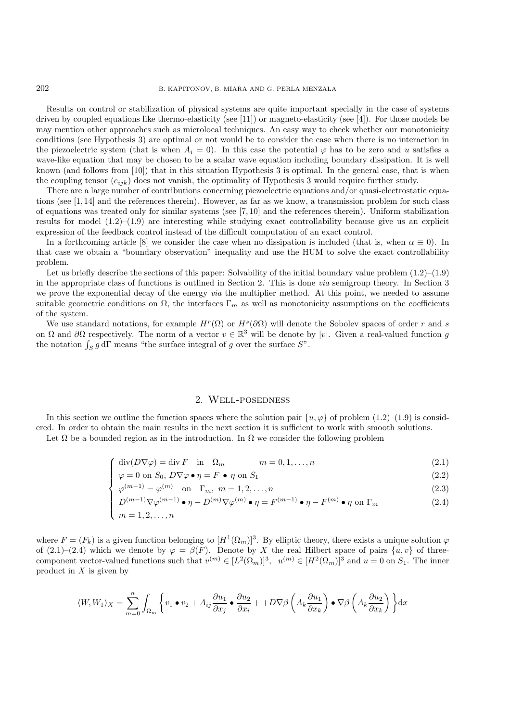Results on control or stabilization of physical systems are quite important specially in the case of systems driven by coupled equations like thermo-elasticity (see [11]) or magneto-elasticity (see [4]). For those models be may mention other approaches such as microlocal techniques. An easy way to check whether our monotonicity conditions (see Hypothesis 3) are optimal or not would be to consider the case when there is no interaction in the piezoelectric system (that is when  $A_i = 0$ ). In this case the potential  $\varphi$  has to be zero and u satisfies a wave-like equation that may be chosen to be a scalar wave equation including boundary dissipation. It is well known (and follows from [10]) that in this situation Hypothesis 3 is optimal. In the general case, that is when the coupling tensor  $(e_{ijk})$  does not vanish, the optimality of Hypothesis 3 would require further study.

There are a large number of contributions concerning piezoelectric equations and/or quasi-electrostatic equations (see [1, 14] and the references therein). However, as far as we know, a transmission problem for such class of equations was treated only for similar systems (see [7, 10] and the references therein). Uniform stabilization results for model  $(1.2)$ – $(1.9)$  are interesting while studying exact controllability because give us an explicit expression of the feedback control instead of the difficult computation of an exact control.

In a forthcoming article [8] we consider the case when no dissipation is included (that is, when  $\alpha \equiv 0$ ). In that case we obtain a "boundary observation" inequality and use the HUM to solve the exact controllability problem.

Let us briefly describe the sections of this paper: Solvability of the initial boundary value problem  $(1.2)$ – $(1.9)$ in the appropriate class of functions is outlined in Section 2. This is done *via* semigroup theory. In Section 3 we prove the exponential decay of the energy *via* the multiplier method. At this point, we needed to assume suitable geometric conditions on  $\Omega$ , the interfaces  $\Gamma_m$  as well as monotonicity assumptions on the coefficients of the system.

We use standard notations, for example  $H^r(\Omega)$  or  $H^s(\partial\Omega)$  will denote the Sobolev spaces of order r and s on  $\Omega$  and  $\partial\Omega$  respectively. The norm of a vector  $v \in \mathbb{R}^3$  will be denote by |v|. Given a real-valued function q the notation  $\int_S g d\Gamma$  means "the surface integral of g over the surface  $S$ ".

### 2. Well-posedness

In this section we outline the function spaces where the solution pair  $\{u, \varphi\}$  of problem (1.2)–(1.9) is considered. In order to obtain the main results in the next section it is sufficient to work with smooth solutions.

Let  $\Omega$  be a bounded region as in the introduction. In  $\Omega$  we consider the following problem

$$
\begin{cases}\n\text{div}(D\nabla\varphi) = \text{div}\,F & \text{in} \quad \Omega_m & m = 0, 1, \dots, n \\
\varphi = 0 & \text{on} \ S_0, \ D\nabla\varphi \bullet \eta = F \bullet \eta \text{ on } S_1\n\end{cases}
$$
\n(2.1)\n
$$
\begin{cases}\n\text{div}(D\nabla\varphi) = \text{div}\,F & \text{in} \quad n = 0, 1, \dots, n \\
\text{div}(\varphi) = 0 & \text{in} \quad n = 1, 2, \dots, n\n\end{cases}
$$
\n(2.2)

$$
\varphi = 0 \text{ on } S_0, D\nabla\varphi \bullet \eta = F \bullet \eta \text{ on } S_1 \tag{2.2}
$$

$$
\varphi^{(m-1)} = \varphi^{(m)} \quad \text{on} \quad \Gamma_m, \ m = 1, 2, \dots, n \tag{2.3}
$$

$$
D^{(m-1)}\nabla\varphi^{(m-1)} \bullet \eta - D^{(m)}\nabla\varphi^{(m)} \bullet \eta = F^{(m-1)} \bullet \eta - F^{(m)} \bullet \eta \text{ on } \Gamma_m
$$
 (2.4)

$$
\begin{cases} D^{(m-1)}\nabla\varphi^{(m-1)} \bullet \eta - D^{(m)}\nabla\varphi^{(m)} \bullet \eta = F^{(m-1)} \bullet \eta - F^{(m)} \bullet \eta \text{ on } \Gamma_m \\ m = 1, 2, \dots, n \end{cases}
$$

where  $F = (F_k)$  is a given function belonging to  $[H^1(\Omega_m)]^3$ . By elliptic theory, there exists a unique solution  $\varphi$ of (2.1)–(2.4) which we denote by  $\varphi = \beta(F)$ . Denote by X the real Hilbert space of pairs  $\{u, v\}$  of threecomponent vector-valued functions such that  $v^{(m)} \in [L^2(\Omega_m)]^3$ ,  $u^{(m)} \in [H^2(\Omega_m)]^3$  and  $u = 0$  on  $S_1$ . The inner product in  $X$  is given by

$$
\langle W, W_1 \rangle_X = \sum_{m=0}^n \int_{\Omega_m} \left\{ v_1 \bullet v_2 + A_{ij} \frac{\partial u_1}{\partial x_j} \bullet \frac{\partial u_2}{\partial x_i} + + D \nabla \beta \left( A_k \frac{\partial u_1}{\partial x_k} \right) \bullet \nabla \beta \left( A_k \frac{\partial u_2}{\partial x_k} \right) \right\} dx
$$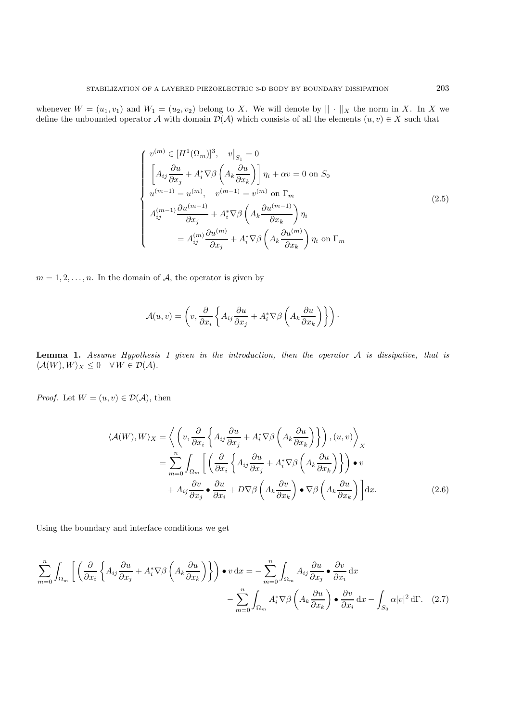whenever  $W = (u_1, v_1)$  and  $W_1 = (u_2, v_2)$  belong to X. We will denote by  $|| \cdot ||_X$  the norm in X. In X we define the unbounded operator A with domain  $\widetilde{\mathcal{D}}(\mathcal{A})$  which consists of all the elements  $(u, v) \in X$  such that

$$
\begin{cases}\nv^{(m)} \in [H^{1}(\Omega_{m})]^{3}, \quad v|_{S_{1}} = 0 \\
\left[A_{ij}\frac{\partial u}{\partial x_{j}} + A_{i}^{*}\nabla\beta\left(A_{k}\frac{\partial u}{\partial x_{k}}\right)\right]\eta_{i} + \alpha v = 0 \text{ on } S_{0} \\
u^{(m-1)} = u^{(m)}, \quad v^{(m-1)} = v^{(m)} \text{ on } \Gamma_{m} \\
A_{ij}^{(m-1)}\frac{\partial u^{(m-1)}}{\partial x_{j}} + A_{i}^{*}\nabla\beta\left(A_{k}\frac{\partial u^{(m-1)}}{\partial x_{k}}\right)\eta_{i} \\
= A_{ij}^{(m)}\frac{\partial u^{(m)}}{\partial x_{j}} + A_{i}^{*}\nabla\beta\left(A_{k}\frac{\partial u^{(m)}}{\partial x_{k}}\right)\eta_{i} \text{ on } \Gamma_{m}\n\end{cases} \tag{2.5}
$$

 $m = 1, 2, \ldots, n$ . In the domain of A, the operator is given by

$$
\mathcal{A}(u,v) = \left(v, \frac{\partial}{\partial x_i} \left\{ A_{ij} \frac{\partial u}{\partial x_j} + A_i^* \nabla \beta \left( A_k \frac{\partial u}{\partial x_k} \right) \right\} \right).
$$

**Lemma 1.** *Assume Hypothesis 1 given in the introduction, then the operator* A *is dissipative, that is*  $\langle \mathcal{A}(W), W \rangle_X \leq 0 \quad \forall W \in \mathcal{D}(\mathcal{A}).$ 

*Proof.* Let  $W = (u, v) \in \mathcal{D}(\mathcal{A})$ , then

$$
\langle A(W), W \rangle_X = \left\langle \left( v, \frac{\partial}{\partial x_i} \left\{ A_{ij} \frac{\partial u}{\partial x_j} + A_i^* \nabla \beta \left( A_k \frac{\partial u}{\partial x_k} \right) \right\} \right), (u, v) \right\rangle_X
$$
  

$$
= \sum_{m=0}^n \int_{\Omega_m} \left[ \left( \frac{\partial}{\partial x_i} \left\{ A_{ij} \frac{\partial u}{\partial x_j} + A_i^* \nabla \beta \left( A_k \frac{\partial u}{\partial x_k} \right) \right\} \right) \bullet v
$$
  

$$
+ A_{ij} \frac{\partial v}{\partial x_j} \bullet \frac{\partial u}{\partial x_i} + D \nabla \beta \left( A_k \frac{\partial v}{\partial x_k} \right) \bullet \nabla \beta \left( A_k \frac{\partial u}{\partial x_k} \right) \right] dx.
$$
 (2.6)

Using the boundary and interface conditions we get

$$
\sum_{m=0}^{n} \int_{\Omega_m} \left[ \left( \frac{\partial}{\partial x_i} \left\{ A_{ij} \frac{\partial u}{\partial x_j} + A_i^* \nabla \beta \left( A_k \frac{\partial u}{\partial x_k} \right) \right\} \right) \bullet v \, dx = - \sum_{m=0}^{n} \int_{\Omega_m} A_{ij} \frac{\partial u}{\partial x_j} \bullet \frac{\partial v}{\partial x_i} dx - \sum_{m=0}^{n} \int_{\Omega_m} A_i^* \nabla \beta \left( A_k \frac{\partial u}{\partial x_k} \right) \bullet \frac{\partial v}{\partial x_i} dx - \int_{S_0} \alpha |v|^2 d\Gamma. \tag{2.7}
$$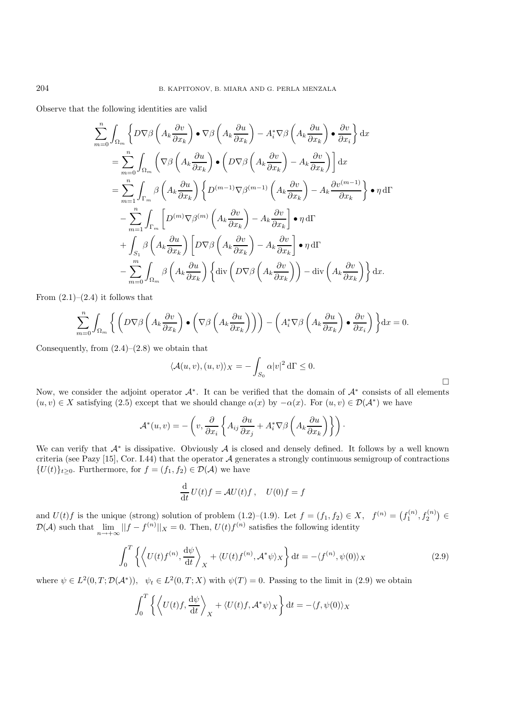Observe that the following identities are valid

$$
\sum_{m=0}^{n} \int_{\Omega_{m}} \left\{ D \nabla \beta \left( A_{k} \frac{\partial v}{\partial x_{k}} \right) \bullet \nabla \beta \left( A_{k} \frac{\partial u}{\partial x_{k}} \right) - A_{i}^{*} \nabla \beta \left( A_{k} \frac{\partial u}{\partial x_{k}} \right) \bullet \frac{\partial v}{\partial x_{i}} \right\} dx
$$
\n
$$
= \sum_{m=0}^{n} \int_{\Omega_{m}} \left( \nabla \beta \left( A_{k} \frac{\partial u}{\partial x_{k}} \right) \bullet \left( D \nabla \beta \left( A_{k} \frac{\partial v}{\partial x_{k}} \right) - A_{k} \frac{\partial v}{\partial x_{k}} \right) \right] dx
$$
\n
$$
= \sum_{m=1}^{n} \int_{\Gamma_{m}} \beta \left( A_{k} \frac{\partial u}{\partial x_{k}} \right) \left\{ D^{(m-1)} \nabla \beta^{(m-1)} \left( A_{k} \frac{\partial v}{\partial x_{k}} \right) - A_{k} \frac{\partial v^{(m-1)}}{\partial x_{k}} \right\} \bullet \eta d\Gamma
$$
\n
$$
- \sum_{m=1}^{n} \int_{\Gamma_{m}} \left[ D^{(m)} \nabla \beta^{(m)} \left( A_{k} \frac{\partial v}{\partial x_{k}} \right) - A_{k} \frac{\partial v}{\partial x_{k}} \right] \bullet \eta d\Gamma
$$
\n
$$
+ \int_{S_{1}} \beta \left( A_{k} \frac{\partial u}{\partial x_{k}} \right) \left[ D \nabla \beta \left( A_{k} \frac{\partial v}{\partial x_{k}} \right) - A_{k} \frac{\partial v}{\partial x_{k}} \right] \bullet \eta d\Gamma
$$
\n
$$
- \sum_{m=0}^{m} \int_{\Omega_{m}} \beta \left( A_{k} \frac{\partial u}{\partial x_{k}} \right) \left\{ \text{div} \left( D \nabla \beta \left( A_{k} \frac{\partial v}{\partial x_{k}} \right) \right\} - \text{div} \left( A_{k} \frac{\partial v}{\partial x_{k}} \right) \right\} dx.
$$

From  $(2.1)$ – $(2.4)$  it follows that

$$
\sum_{m=0}^{n} \int_{\Omega_m} \left\{ \left( D \nabla \beta \left( A_k \frac{\partial v}{\partial x_k} \right) \bullet \left( \nabla \beta \left( A_k \frac{\partial u}{\partial x_k} \right) \right) \right) - \left( A_i^* \nabla \beta \left( A_k \frac{\partial u}{\partial x_k} \right) \bullet \frac{\partial v}{\partial x_i} \right) \right\} dx = 0.
$$

Consequently, from  $(2.4)$ – $(2.8)$  we obtain that

$$
\langle \mathcal{A}(u,v), (u,v) \rangle_X = -\int_{S_0} \alpha |v|^2 \, d\Gamma \le 0.
$$

Now, we consider the adjoint operator  $\mathcal{A}^*$ . It can be verified that the domain of  $\mathcal{A}^*$  consists of all elements  $(u, v) \in X$  satisfying (2.5) except that we should change  $\alpha(x)$  by  $-\alpha(x)$ . For  $(u, v) \in \mathcal{D}(\mathcal{A}^*)$  we have

$$
\mathcal{A}^*(u,v) = -\left(v, \frac{\partial}{\partial x_i} \left\{ A_{ij} \frac{\partial u}{\partial x_j} + A_i^* \nabla \beta \left( A_k \frac{\partial u}{\partial x_k} \right) \right\} \right).
$$

We can verify that  $A^*$  is dissipative. Obviously A is closed and densely defined. It follows by a well known criteria (see Pazy [15], Cor. I.44) that the operator  $A$  generates a strongly continuous semigroup of contractions  $\{U(t)\}_{t\geq 0}$ . Furthermore, for  $f = (f_1, f_2) \in \mathcal{D}(\mathcal{A})$  we have

$$
\frac{\mathrm{d}}{\mathrm{d}t}U(t)f = \mathcal{A}U(t)f, \quad U(0)f = f
$$

and  $U(t)f$  is the unique (strong) solution of problem  $(1.2)$ – $(1.9)$ . Let  $f = (f_1, f_2) \in X$ ,  $f^{(n)} = (f_1^{(n)}, f_2^{(n)}) \in$  $\mathcal{D}(\mathcal{A})$  such that  $\lim_{n\to+\infty}||f-f^{(n)}||_X=0$ . Then,  $U(t)f^{(n)}$  satisfies the following identity

$$
\int_0^T \left\{ \left\langle U(t)f^{(n)}, \frac{d\psi}{dt} \right\rangle_X + \langle U(t)f^{(n)}, \mathcal{A}^*\psi \rangle_X \right\} dt = -\langle f^{(n)}, \psi(0) \rangle_X \tag{2.9}
$$

 $\Box$ 

where  $\psi \in L^2(0,T;\mathcal{D}(\mathcal{A}^*))$ ,  $\psi_t \in L^2(0,T;X)$  with  $\psi(T) = 0$ . Passing to the limit in (2.9) we obtain

$$
\int_0^T \left\{ \left\langle U(t)f, \frac{\mathrm{d}\psi}{\mathrm{d}t} \right\rangle_X + \langle U(t)f, \mathcal{A}^*\psi \rangle_X \right\} \mathrm{d}t = -\langle f, \psi(0) \rangle_X
$$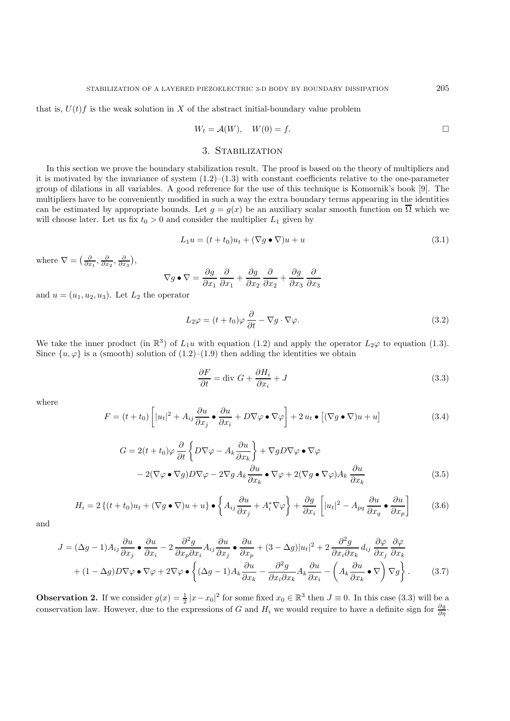$$
W_t = \mathcal{A}(W), \quad W(0) = f. \qquad \qquad \Box
$$

## 3. Stabilization

In this section we prove the boundary stabilization result. The proof is based on the theory of multipliers and it is motivated by the invariance of system  $(1.2)$ – $(1.3)$  with constant coefficients relative to the one-parameter group of dilations in all variables. A good reference for the use of this technique is Komornik's book [9]. The multipliers have to be conveniently modified in such a way the extra boundary terms appearing in the identities can be estimated by appropriate bounds. Let  $g = g(x)$  be an auxiliary scalar smooth function on  $\overline{\Omega}$  which we will choose later. Let us fix  $t_0 > 0$  and consider the multiplier  $L_1$  given by

$$
L_1 u = (t + t_0)u_t + (\nabla g \bullet \nabla)u + u \tag{3.1}
$$

where  $\nabla = \left(\frac{\partial}{\partial x_1}, \frac{\partial}{\partial x_2}, \frac{\partial}{\partial x_3}\right)$ ,

$$
\nabla g \bullet \nabla = \frac{\partial g}{\partial x_1} \frac{\partial}{\partial x_1} + \frac{\partial g}{\partial x_2} \frac{\partial}{\partial x_2} + \frac{\partial g}{\partial x_3} \frac{\partial}{\partial x_3}
$$

and  $u = (u_1, u_2, u_3)$ . Let  $L_2$  the operator

$$
L_2 \varphi = (t + t_0) \varphi \frac{\partial}{\partial t} - \nabla g \cdot \nabla \varphi.
$$
\n(3.2)

We take the inner product (in  $\mathbb{R}^3$ ) of  $L_1u$  with equation (1.2) and apply the operator  $L_2\varphi$  to equation (1.3). Since  $\{u, \varphi\}$  is a (smooth) solution of  $(1.2)$ – $(1.9)$  then adding the identities we obtain

$$
\frac{\partial F}{\partial t} = \text{div } G + \frac{\partial H_i}{\partial x_i} + J \tag{3.3}
$$

where

$$
F = (t + t_0) \left[ |u_t|^2 + A_{ij} \frac{\partial u}{\partial x_j} \bullet \frac{\partial u}{\partial x_i} + D \nabla \varphi \bullet \nabla \varphi \right] + 2 u_t \bullet \left[ (\nabla g \bullet \nabla) u + u \right]
$$
(3.4)

$$
G = 2(t + t_0)\varphi \frac{\partial}{\partial t} \left\{ D\nabla\varphi - A_k \frac{\partial u}{\partial x_k} \right\} + \nabla g D \nabla \varphi \bullet \nabla \varphi
$$
  

$$
- 2(\nabla\varphi \bullet \nabla g) D \nabla \varphi - 2\nabla g A_k \frac{\partial u}{\partial x_k} \bullet \nabla \varphi + 2(\nabla g \bullet \nabla \varphi) A_k \frac{\partial u}{\partial x_k}
$$
(3.5)

$$
H_i = 2\left\{ (t+t_0)u_t + (\nabla g \bullet \nabla)u + u \right\} \bullet \left\{ A_{ij} \frac{\partial u}{\partial x_j} + A_i^* \nabla \varphi \right\} + \frac{\partial g}{\partial x_i} \left[ |u_t|^2 - A_{pq} \frac{\partial u}{\partial x_q} \bullet \frac{\partial u}{\partial x_p} \right] \tag{3.6}
$$

and

$$
J = (\Delta g - 1) A_{ij} \frac{\partial u}{\partial x_j} \bullet \frac{\partial u}{\partial x_i} - 2 \frac{\partial^2 g}{\partial x_p \partial x_i} A_{ij} \frac{\partial u}{\partial x_j} \bullet \frac{\partial u}{\partial x_p} + (3 - \Delta g)|u_t|^2 + 2 \frac{\partial^2 g}{\partial x_i \partial x_k} d_{ij} \frac{\partial \varphi}{\partial x_j} \frac{\partial \varphi}{\partial x_k}
$$
  
+ 
$$
(1 - \Delta g) D \nabla \varphi \bullet \nabla \varphi + 2 \nabla \varphi \bullet \left\{ (\Delta g - 1) A_k \frac{\partial u}{\partial x_k} - \frac{\partial^2 g}{\partial x_i \partial x_k} A_k \frac{\partial u}{\partial x_i} - \left( A_k \frac{\partial u}{\partial x_k} \bullet \nabla \right) \nabla g \right\}.
$$
 (3.7)

**Observation 2.** If we consider  $g(x) = \frac{1}{2} |x - x_0|^2$  for some fixed  $x_0 \in \mathbb{R}^3$  then  $J \equiv 0$ . In this case (3.3) will be a conservation law. However, due to the expressions of G and  $H_i$  we would require to have a definite sign for  $\frac{\partial g}{\partial \eta}$ .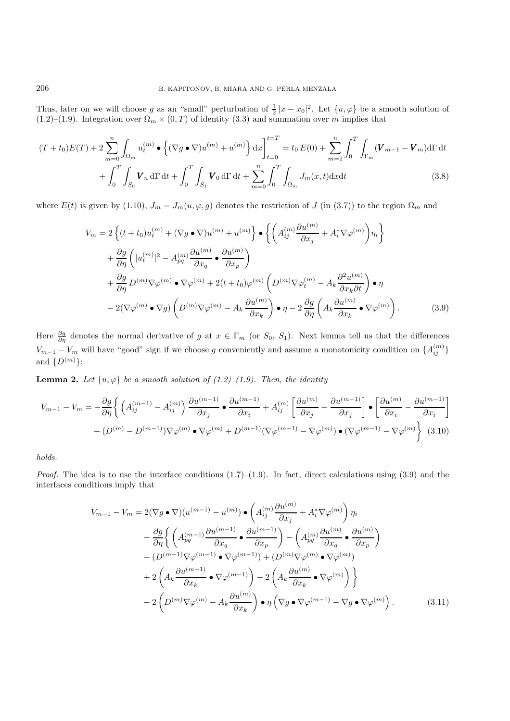Thus, later on we will choose g as an "small" perturbation of  $\frac{1}{2}|x-x_0|^2$ . Let  $\{u, \varphi\}$  be a smooth solution of (1.2)–(1.9). Integration over  $\Omega_m \times (0,T)$  of identity (3.3) and summation over m implies that

$$
(T+t_0)E(T) + 2\sum_{m=0}^{n} \int_{\Omega_m} u_t^{(m)} \bullet \left\{ (\nabla g \bullet \nabla) u^{(m)} + u^{(m)} \right\} dx \Big|_{t=0}^{t=T} = t_0 E(0) + \sum_{m=1}^{n} \int_0^T \int_{\Gamma_m} (\mathbf{V}_{m-1} - \mathbf{V}_m) d\Gamma dt + \int_0^T \int_{S_0} \mathbf{V}_n d\Gamma dt + \int_0^T \int_{S_1} \mathbf{V}_0 d\Gamma dt + \sum_{m=0}^{n} \int_0^T \int_{\Omega_m} J_m(x, t) dx dt
$$
(3.8)

where  $E(t)$  is given by (1.10),  $J_m = J_m(u, \varphi, g)$  denotes the restriction of J (in (3.7)) to the region  $\Omega_m$  and

$$
V_m = 2\left\{ (t+t_0)u_t^{(m)} + (\nabla g \bullet \nabla)u^{(m)} + u^{(m)} \right\} \bullet \left\{ \left( A_{ij}^{(m)} \frac{\partial u^{(m)}}{\partial x_j} + A_i^* \nabla \varphi^{(m)} \right) \eta_i \right\}
$$
  
+  $\frac{\partial g}{\partial \eta} \left( |u_t^{(m)}|^2 - A_{pq}^{(m)} \frac{\partial u^{(m)}}{\partial x_q} \bullet \frac{\partial u^{(m)}}{\partial x_p} \right)$   
+  $\frac{\partial g}{\partial \eta} D^{(m)} \nabla \varphi^{(m)} \bullet \nabla \varphi^{(m)} + 2(t+t_0) \varphi^{(m)} \left( D^{(m)} \nabla \varphi_t^{(m)} - A_k \frac{\partial^2 u^{(m)}}{\partial x_k \partial t} \right) \bullet \eta$   
-  $2(\nabla \varphi^{(m)} \bullet \nabla g) \left( D^{(m)} \nabla \varphi^{(m)} - A_k \frac{\partial u^{(m)}}{\partial x_k} \right) \bullet \eta - 2 \frac{\partial g}{\partial \eta} \left( A_k \frac{\partial u^{(m)}}{\partial x_k} \bullet \nabla \varphi^{(m)} \right).$  (3.9)

Here  $\frac{\partial g}{\partial \eta}$  denotes the normal derivative of g at  $x \in \Gamma_m$  (or  $S_0$ ,  $S_1$ ). Next lemma tell us that the differences  $V_{m-1} - V_m$  will have "good" sign if we choose g conveniently and assume a monotonicity condition on  $\{A_{ij}^{(m)}\}$ and  $\{D^{(m)}\}$ :

**Lemma 2.** Let  $\{u, \varphi\}$  be a smooth solution of (1.2)–(1.9). Then, the identity

$$
V_{m-1} - V_m = -\frac{\partial g}{\partial \eta} \left\{ \left( A_{ij}^{(m-1)} - A_{ij}^{(m)} \right) \frac{\partial u^{(m-1)}}{\partial x_j} \bullet \frac{\partial u^{(m-1)}}{\partial x_i} + A_{ij}^{(m)} \left[ \frac{\partial u^{(m)}}{\partial x_j} - \frac{\partial u^{(m-1)}}{\partial x_j} \right] \bullet \left[ \frac{\partial u^{(m)}}{\partial x_i} - \frac{\partial u^{(m-1)}}{\partial x_i} \right] \right\}
$$

$$
+ (D^{(m)} - D^{(m-1)}) \nabla \varphi^{(m)} \bullet \nabla \varphi^{(m)} + D^{(m-1)} (\nabla \varphi^{(m-1)} - \nabla \varphi^{(m)}) \bullet (\nabla \varphi^{(m-1)} - \nabla \varphi^{(m)}) \right\} (3.10)
$$

*holds.*

*Proof.* The idea is to use the interface conditions  $(1.7)$ – $(1.9)$ . In fact, direct calculations using  $(3.9)$  and the interfaces conditions imply that

$$
V_{m-1} - V_m = 2(\nabla g \bullet \nabla)(u^{(m-1)} - u^{(m)}) \bullet \left( A_{ij}^{(m)} \frac{\partial u^{(m)}}{\partial x_j} + A_i^* \nabla \varphi^{(m)} \right) \eta_i
$$
  

$$
- \frac{\partial g}{\partial \eta} \left\{ \left( A_{pq}^{(m-1)} \frac{\partial u^{(m-1)}}{\partial x_q} \bullet \frac{\partial u^{(m-1)}}{\partial x_p} \right) - \left( A_{pq}^{(m)} \frac{\partial u^{(m)}}{\partial x_q} \bullet \frac{\partial u^{(m)}}{\partial x_p} \right) \right\}
$$
  

$$
- (D^{(m-1)} \nabla \varphi^{(m-1)} \bullet \nabla \varphi^{(m-1)}) + (D^{(m)} \nabla \varphi^{(m)} \bullet \nabla \varphi^{(m)})
$$
  

$$
+ 2 \left( A_k \frac{\partial u^{(m-1)}}{\partial x_k} \bullet \nabla \varphi^{(m-1)} \right) - 2 \left( A_k \frac{\partial u^{(m)}}{\partial x_k} \bullet \nabla \varphi^{(m)} \right) \}
$$
  

$$
- 2 \left( D^{(m)} \nabla \varphi^{(m)} - A_k \frac{\partial u^{(m)}}{\partial x_k} \right) \bullet \eta \left( \nabla g \bullet \nabla \varphi^{(m-1)} - \nabla g \bullet \nabla \varphi^{(m)} \right).
$$
 (3.11)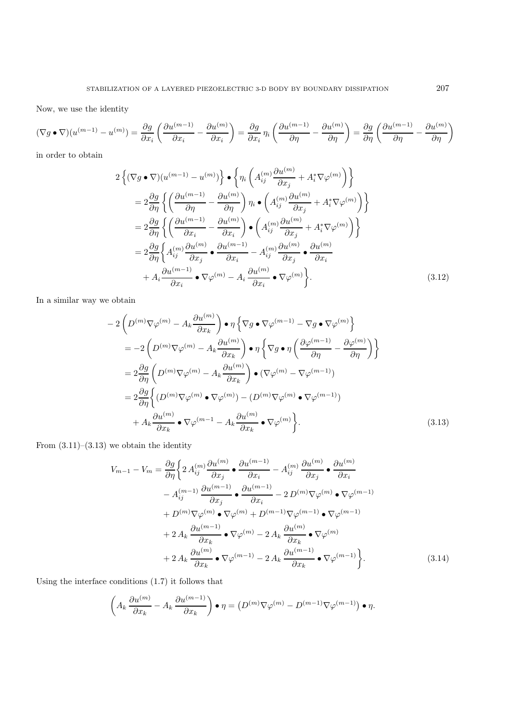Now, we use the identity

$$
(\nabla g \bullet \nabla)(u^{(m-1)} - u^{(m)}) = \frac{\partial g}{\partial x_i} \left( \frac{\partial u^{(m-1)}}{\partial x_i} - \frac{\partial u^{(m)}}{\partial x_i} \right) = \frac{\partial g}{\partial x_i} \eta_i \left( \frac{\partial u^{(m-1)}}{\partial \eta} - \frac{\partial u^{(m)}}{\partial \eta} \right) = \frac{\partial g}{\partial \eta} \left( \frac{\partial u^{(m-1)}}{\partial \eta} - \frac{\partial u^{(m)}}{\partial \eta} \right)
$$

in order to obtain

$$
2\left\{ (\nabla g \bullet \nabla)(u^{(m-1)} - u^{(m)}) \right\} \bullet \left\{ \eta_i \left( A_{ij}^{(m)} \frac{\partial u^{(m)}}{\partial x_j} + A_i^* \nabla \varphi^{(m)} \right) \right\}
$$
  
\n
$$
= 2 \frac{\partial g}{\partial \eta} \left\{ \left( \frac{\partial u^{(m-1)}}{\partial \eta} - \frac{\partial u^{(m)}}{\partial \eta} \right) \eta_i \bullet \left( A_{ij}^{(m)} \frac{\partial u^{(m)}}{\partial x_j} + A_i^* \nabla \varphi^{(m)} \right) \right\}
$$
  
\n
$$
= 2 \frac{\partial g}{\partial \eta} \left\{ \left( \frac{\partial u^{(m-1)}}{\partial x_i} - \frac{\partial u^{(m)}}{\partial x_i} \right) \bullet \left( A_{ij}^{(m)} \frac{\partial u^{(m)}}{\partial x_j} + A_i^* \nabla \varphi^{(m)} \right) \right\}
$$
  
\n
$$
= 2 \frac{\partial g}{\partial \eta} \left\{ A_{ij}^{(m)} \frac{\partial u^{(m)}}{\partial x_j} \bullet \frac{\partial u^{(m-1)}}{\partial x_i} - A_{ij}^{(m)} \frac{\partial u^{(m)}}{\partial x_j} \bullet \frac{\partial u^{(m)}}{\partial x_i}
$$
  
\n
$$
+ A_i \frac{\partial u^{(m-1)}}{\partial x_i} \bullet \nabla \varphi^{(m)} - A_i \frac{\partial u^{(m)}}{\partial x_i} \bullet \nabla \varphi^{(m)} \right\}.
$$
  
\n(3.12)

In a similar way we obtain

$$
-2\left(D^{(m)}\nabla\varphi^{(m)} - A_k \frac{\partial u^{(m)}}{\partial x_k}\right) \bullet \eta \left\{\nabla g \bullet \nabla \varphi^{(m-1)} - \nabla g \bullet \nabla \varphi^{(m)}\right\}
$$
  
\n
$$
= -2\left(D^{(m)}\nabla\varphi^{(m)} - A_k \frac{\partial u^{(m)}}{\partial x_k}\right) \bullet \eta \left\{\nabla g \bullet \eta \left(\frac{\partial \varphi^{(m-1)}}{\partial \eta} - \frac{\partial \varphi^{(m)}}{\partial \eta}\right)\right\}
$$
  
\n
$$
= 2\frac{\partial g}{\partial \eta} \left(D^{(m)}\nabla\varphi^{(m)} - A_k \frac{\partial u^{(m)}}{\partial x_k}\right) \bullet (\nabla \varphi^{(m)} - \nabla \varphi^{(m-1)})
$$
  
\n
$$
= 2\frac{\partial g}{\partial \eta} \left\{(D^{(m)}\nabla\varphi^{(m)} \bullet \nabla \varphi^{(m)}) - (D^{(m)}\nabla \varphi^{(m)} \bullet \nabla \varphi^{(m-1)})\right\}
$$
  
\n
$$
+ A_k \frac{\partial u^{(m)}}{\partial x_k} \bullet \nabla \varphi^{(m-1)} - A_k \frac{\partial u^{(m)}}{\partial x_k} \bullet \nabla \varphi^{(m)}\right\}.
$$
\n(3.13)

From  $(3.11)$ – $(3.13)$  we obtain the identity

$$
V_{m-1} - V_m = \frac{\partial g}{\partial \eta} \left\{ 2 A_{ij}^{(m)} \frac{\partial u^{(m)}}{\partial x_j} \bullet \frac{\partial u^{(m-1)}}{\partial x_i} - A_{ij}^{(m)} \frac{\partial u^{(m)}}{\partial x_j} \bullet \frac{\partial u^{(m)}}{\partial x_i} \right.- A_{ij}^{(m-1)} \frac{\partial u^{(m-1)}}{\partial x_j} \bullet \frac{\partial u^{(m-1)}}{\partial x_i} - 2 D^{(m)} \nabla \varphi^{(m)} \bullet \nabla \varphi^{(m-1)} + D^{(m)} \nabla \varphi^{(m)} \bullet \nabla \varphi^{(m)} + D^{(m-1)} \nabla \varphi^{(m-1)} \bullet \nabla \varphi^{(m-1)} + 2 A_k \frac{\partial u^{(m-1)}}{\partial x_k} \bullet \nabla \varphi^{(m)} - 2 A_k \frac{\partial u^{(m)}}{\partial x_k} \bullet \nabla \varphi^{(m)} + 2 A_k \frac{\partial u^{(m)}}{\partial x_k} \bullet \nabla \varphi^{(m-1)} - 2 A_k \frac{\partial u^{(m-1)}}{\partial x_k} \bullet \nabla \varphi^{(m-1)} \right\}.
$$
(3.14)

Using the interface conditions (1.7) it follows that

$$
\left(A_k \frac{\partial u^{(m)}}{\partial x_k} - A_k \frac{\partial u^{(m-1)}}{\partial x_k}\right) \bullet \eta = \left(D^{(m)} \nabla \varphi^{(m)} - D^{(m-1)} \nabla \varphi^{(m-1)}\right) \bullet \eta.
$$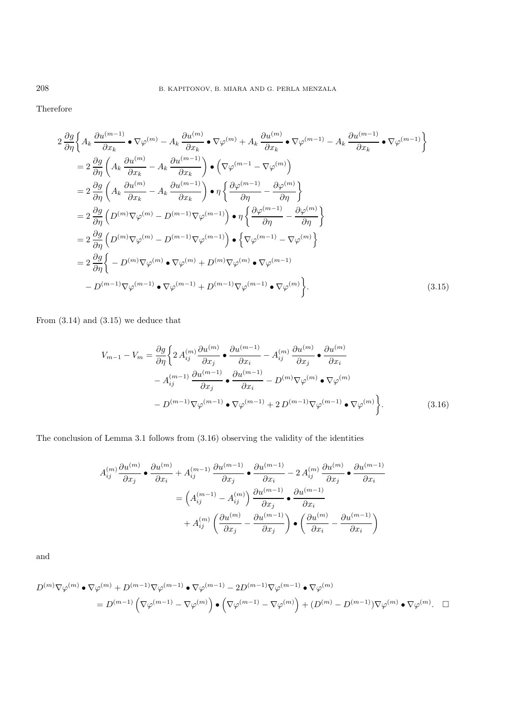Therefore

$$
2 \frac{\partial g}{\partial \eta} \Biggl\{ A_k \frac{\partial u^{(m-1)}}{\partial x_k} \bullet \nabla \varphi^{(m)} - A_k \frac{\partial u^{(m)}}{\partial x_k} \bullet \nabla \varphi^{(m)} + A_k \frac{\partial u^{(m)}}{\partial x_k} \bullet \nabla \varphi^{(m-1)} - A_k \frac{\partial u^{(m-1)}}{\partial x_k} \bullet \nabla \varphi^{(m-1)} \Biggr\}
$$
  
\n
$$
= 2 \frac{\partial g}{\partial \eta} \Biggl( A_k \frac{\partial u^{(m)}}{\partial x_k} - A_k \frac{\partial u^{(m-1)}}{\partial x_k} \Biggr) \bullet \Biggl( \nabla \varphi^{(m-1)} - \nabla \varphi^{(m)} \Biggr)
$$
  
\n
$$
= 2 \frac{\partial g}{\partial \eta} \Biggl( A_k \frac{\partial u^{(m)}}{\partial x_k} - A_k \frac{\partial u^{(m-1)}}{\partial x_k} \Biggr) \bullet \eta \Biggl\{ \frac{\partial \varphi^{(m-1)}}{\partial \eta} - \frac{\partial \varphi^{(m)}}{\partial \eta} \Biggr\}
$$
  
\n
$$
= 2 \frac{\partial g}{\partial \eta} \Biggl( D^{(m)} \nabla \varphi^{(m)} - D^{(m-1)} \nabla \varphi^{(m-1)} \Biggr) \bullet \eta \Biggl\{ \frac{\partial \varphi^{(m-1)}}{\partial \eta} - \frac{\partial \varphi^{(m)}}{\partial \eta} \Biggr\}
$$
  
\n
$$
= 2 \frac{\partial g}{\partial \eta} \Biggl( D^{(m)} \nabla \varphi^{(m)} - D^{(m-1)} \nabla \varphi^{(m-1)} \Biggr) \bullet \Biggl\{ \nabla \varphi^{(m-1)} - \nabla \varphi^{(m)} \Biggr\}
$$
  
\n
$$
= 2 \frac{\partial g}{\partial \eta} \Biggl\{ - D^{(m)} \nabla \varphi^{(m)} \bullet \nabla \varphi^{(m)} + D^{(m)} \nabla \varphi^{(m)} \bullet \nabla \varphi^{(m-1)} \Biggr\}.
$$
  
\n
$$
= D^{(m-1)} \nabla \varphi^{(m-1)} \bullet \nabla \varphi^{(m-1)} + D^{(m-1)} \nabla \varphi^{(m-
$$

From  $(3.14)$  and  $(3.15)$  we deduce that

$$
V_{m-1} - V_m = \frac{\partial g}{\partial \eta} \left\{ 2 A_{ij}^{(m)} \frac{\partial u^{(m)}}{\partial x_j} \bullet \frac{\partial u^{(m-1)}}{\partial x_i} - A_{ij}^{(m)} \frac{\partial u^{(m)}}{\partial x_j} \bullet \frac{\partial u^{(m)}}{\partial x_i} - A_{ij}^{(m-1)} \frac{\partial u^{(m-1)}}{\partial x_j} \bullet \frac{\partial u^{(m-1)}}{\partial x_i} - D^{(m)} \nabla \varphi^{(m)} \bullet \nabla \varphi^{(m)} - D^{(m-1)} \nabla \varphi^{(m-1)} \bullet \nabla \varphi^{(m-1)} \bullet \nabla \varphi^{(m-1)} \bullet \nabla \varphi^{(m)} \right\}.
$$
\n(3.16)

The conclusion of Lemma 3.1 follows from (3.16) observing the validity of the identities

$$
A_{ij}^{(m)} \frac{\partial u^{(m)}}{\partial x_j} \bullet \frac{\partial u^{(m)}}{\partial x_i} + A_{ij}^{(m-1)} \frac{\partial u^{(m-1)}}{\partial x_j} \bullet \frac{\partial u^{(m-1)}}{\partial x_i} - 2 A_{ij}^{(m)} \frac{\partial u^{(m)}}{\partial x_j} \bullet \frac{\partial u^{(m-1)}}{\partial x_i}
$$

$$
= \left( A_{ij}^{(m-1)} - A_{ij}^{(m)} \right) \frac{\partial u^{(m-1)}}{\partial x_j} \bullet \frac{\partial u^{(m-1)}}{\partial x_i}
$$

$$
+ A_{ij}^{(m)} \left( \frac{\partial u^{(m)}}{\partial x_j} - \frac{\partial u^{(m-1)}}{\partial x_j} \right) \bullet \left( \frac{\partial u^{(m)}}{\partial x_i} - \frac{\partial u^{(m-1)}}{\partial x_i} \right)
$$

and

$$
\begin{split} D^{(m)}\nabla\varphi^{(m)}\bullet\nabla\varphi^{(m)}+D^{(m-1)}\nabla\varphi^{(m-1)}\bullet\nabla\varphi^{(m-1)}-2D^{(m-1)}\nabla\varphi^{(m-1)}\bullet\nabla\varphi^{(m)}\\ =D^{(m-1)}\left(\nabla\varphi^{(m-1)}-\nabla\varphi^{(m)}\right)\bullet\left(\nabla\varphi^{(m-1)}-\nabla\varphi^{(m)}\right)+(D^{(m)}-D^{(m-1)})\nabla\varphi^{(m)}\bullet\nabla\varphi^{(m)}. \quad\square\nabla\varphi^{(m)}\end{split}
$$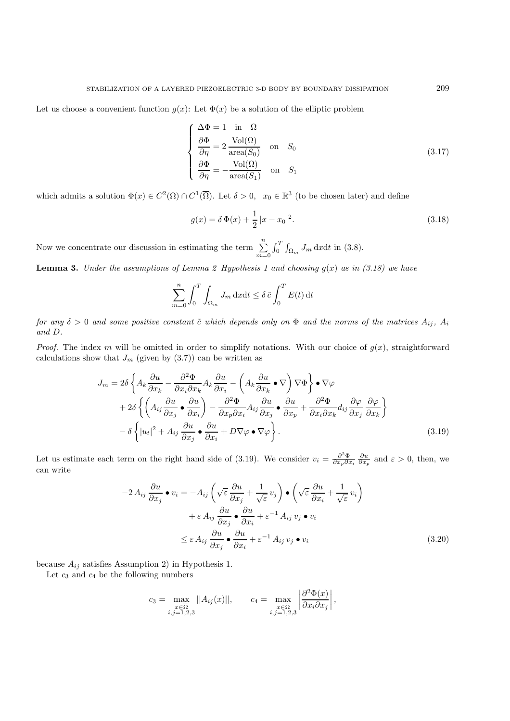Let us choose a convenient function  $g(x)$ : Let  $\Phi(x)$  be a solution of the elliptic problem

$$
\begin{cases}\n\Delta \Phi = 1 & \text{in } \Omega \\
\frac{\partial \Phi}{\partial \eta} = 2 \frac{\text{Vol}(\Omega)}{\text{area}(S_0)} & \text{on } S_0 \\
\frac{\partial \Phi}{\partial \eta} = -\frac{\text{Vol}(\Omega)}{\text{area}(S_1)} & \text{on } S_1\n\end{cases}
$$
\n(3.17)

which admits a solution  $\Phi(x) \in C^2(\Omega) \cap C^1(\overline{\Omega})$ . Let  $\delta > 0$ ,  $x_0 \in \mathbb{R}^3$  (to be chosen later) and define

$$
g(x) = \delta \Phi(x) + \frac{1}{2} |x - x_0|^2.
$$
 (3.18)

Now we concentrate our discussion in estimating the term  $\Sigma$  $m=0$  $\int_0^1 \int_{\Omega_m} J_m \, \mathrm{d}x \mathrm{d}t$  in (3.8).

**Lemma 3.** *Under the assumptions of Lemma 2 Hypothesis 1 and choosing*  $g(x)$  *as in (3.18)* we have

$$
\sum_{m=0}^{n} \int_{0}^{T} \int_{\Omega_{m}} J_{m} \, \mathrm{d}x \mathrm{d}t \leq \delta \, \tilde{c} \int_{0}^{T} E(t) \, \mathrm{d}t
$$

*for any*  $\delta > 0$  *and some positive constant*  $\tilde{c}$  *which depends only on*  $\Phi$  *and the norms of the matrices*  $A_{ij}$ *,*  $A_i$ *and* D*.*

*Proof.* The index m will be omitted in order to simplify notations. With our choice of  $g(x)$ , straightforward calculations show that  $J_m$  (given by  $(3.7)$ ) can be written as

$$
J_m = 2\delta \left\{ A_k \frac{\partial u}{\partial x_k} - \frac{\partial^2 \Phi}{\partial x_i \partial x_k} A_k \frac{\partial u}{\partial x_i} - \left( A_k \frac{\partial u}{\partial x_k} \bullet \nabla \right) \nabla \Phi \right\} \bullet \nabla \varphi
$$
  
+ 
$$
2\delta \left\{ \left( A_{ij} \frac{\partial u}{\partial x_j} \bullet \frac{\partial u}{\partial x_i} \right) - \frac{\partial^2 \Phi}{\partial x_p \partial x_i} A_{ij} \frac{\partial u}{\partial x_j} \bullet \frac{\partial u}{\partial x_p} + \frac{\partial^2 \Phi}{\partial x_i \partial x_k} d_{ij} \frac{\partial \varphi}{\partial x_j} \frac{\partial \varphi}{\partial x_k} \right\}
$$
  
- 
$$
\delta \left\{ |u_t|^2 + A_{ij} \frac{\partial u}{\partial x_j} \bullet \frac{\partial u}{\partial x_i} + D \nabla \varphi \bullet \nabla \varphi \right\}.
$$
 (3.19)

Let us estimate each term on the right hand side of (3.19). We consider  $v_i = \frac{\partial^2 \Phi}{\partial x_p \partial x_i} \frac{\partial u}{\partial x_p}$  and  $\varepsilon > 0$ , then, we can write can write

$$
-2 A_{ij} \frac{\partial u}{\partial x_j} \bullet v_i = -A_{ij} \left( \sqrt{\varepsilon} \frac{\partial u}{\partial x_j} + \frac{1}{\sqrt{\varepsilon}} v_j \right) \bullet \left( \sqrt{\varepsilon} \frac{\partial u}{\partial x_i} + \frac{1}{\sqrt{\varepsilon}} v_i \right) + \varepsilon A_{ij} \frac{\partial u}{\partial x_j} \bullet \frac{\partial u}{\partial x_i} + \varepsilon^{-1} A_{ij} v_j \bullet v_i \leq \varepsilon A_{ij} \frac{\partial u}{\partial x_j} \bullet \frac{\partial u}{\partial x_i} + \varepsilon^{-1} A_{ij} v_j \bullet v_i
$$
\n(3.20)

because  $A_{ij}$  satisfies Assumption 2) in Hypothesis 1.

Let  $c_3$  and  $c_4$  be the following numbers

$$
c_3 = \max_{\substack{x \in \overline{\Omega} \\ i,j=1,2,3}} ||A_{ij}(x)||, \qquad c_4 = \max_{\substack{x \in \overline{\Omega} \\ i,j=1,2,3}} \left| \frac{\partial^2 \Phi(x)}{\partial x_i \partial x_j} \right|,
$$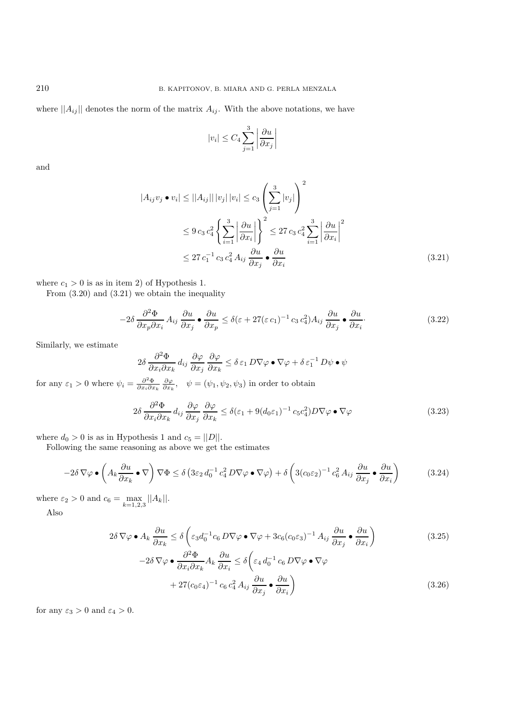where  $||A_{ij}||$  denotes the norm of the matrix  $A_{ij}$ . With the above notations, we have

$$
|v_i| \le C_4 \sum_{j=1}^3 \left| \frac{\partial u}{\partial x_j} \right|
$$

and

$$
|A_{ij}v_j \bullet v_i| \le ||A_{ij}|| |v_j| |v_i| \le c_3 \left(\sum_{j=1}^3 |v_j|\right)^2
$$
  
\n
$$
\le 9 c_3 c_4^2 \left\{\sum_{i=1}^3 \left|\frac{\partial u}{\partial x_i}\right|\right\}^2 \le 27 c_3 c_4^2 \sum_{i=1}^3 \left|\frac{\partial u}{\partial x_i}\right|^2
$$
  
\n
$$
\le 27 c_1^{-1} c_3 c_4^2 A_{ij} \frac{\partial u}{\partial x_j} \bullet \frac{\partial u}{\partial x_i}
$$
\n(3.21)

where  $c_1 > 0$  is as in item 2) of Hypothesis 1.

From (3.20) and (3.21) we obtain the inequality

$$
-2\delta \frac{\partial^2 \Phi}{\partial x_p \partial x_i} A_{ij} \frac{\partial u}{\partial x_j} \bullet \frac{\partial u}{\partial x_p} \le \delta (\varepsilon + 27(\varepsilon c_1)^{-1} c_3 c_4^2) A_{ij} \frac{\partial u}{\partial x_j} \bullet \frac{\partial u}{\partial x_i}.
$$
(3.22)

Similarly, we estimate

$$
2\delta \frac{\partial^2 \Phi}{\partial x_i \partial x_k} d_{ij} \frac{\partial \varphi}{\partial x_j} \frac{\partial \varphi}{\partial x_k} \le \delta \varepsilon_1 D \nabla \varphi \bullet \nabla \varphi + \delta \varepsilon_1^{-1} D \psi \bullet \psi
$$

for any  $\varepsilon_1 > 0$  where  $\psi_i = \frac{\partial^2 \Phi}{\partial x_i \partial x_k} \frac{\partial \varphi}{\partial x_k}$ ,  $\psi = (\psi_1, \psi_2, \psi_3)$  in order to obtain

$$
2\delta \frac{\partial^2 \Phi}{\partial x_i \partial x_k} d_{ij} \frac{\partial \varphi}{\partial x_j} \frac{\partial \varphi}{\partial x_k} \le \delta(\varepsilon_1 + 9(d_0 \varepsilon_1)^{-1} c_5 c_4^2) D \nabla \varphi \bullet \nabla \varphi \tag{3.23}
$$

where  $d_0 > 0$  is as in Hypothesis 1 and  $c_5 = ||D||$ .

Following the same reasoning as above we get the estimates

$$
-2\delta \nabla \varphi \bullet \left(A_k \frac{\partial u}{\partial x_k} \bullet \nabla\right) \nabla \Phi \le \delta \left(3\varepsilon_2 d_0^{-1} c_4^2 D \nabla \varphi \bullet \nabla \varphi\right) + \delta \left(3(c_0\varepsilon_2)^{-1} c_6^2 A_{ij} \frac{\partial u}{\partial x_j} \bullet \frac{\partial u}{\partial x_i}\right) \tag{3.24}
$$

where  $\varepsilon_2 > 0$  and  $c_6 = \max_{1 \leq k \leq 1}$  $\max_{k=1,2,3} ||A_k||.$ 

Also

$$
2\delta \nabla \varphi \bullet A_k \frac{\partial u}{\partial x_k} \le \delta \left( \varepsilon_3 d_0^{-1} c_6 D \nabla \varphi \bullet \nabla \varphi + 3c_6 (c_0 \varepsilon_3)^{-1} A_{ij} \frac{\partial u}{\partial x_j} \bullet \frac{\partial u}{\partial x_i} \right)
$$
  

$$
-2\delta \nabla \varphi \bullet \frac{\partial^2 \Phi}{\partial x_i \partial x_k} A_k \frac{\partial u}{\partial x_i} \le \delta \left( \varepsilon_4 d_0^{-1} c_6 D \nabla \varphi \bullet \nabla \varphi
$$
  

$$
+ 27 (c_0 \varepsilon_4)^{-1} c_6 c_4^2 A_{ij} \frac{\partial u}{\partial x_j} \bullet \frac{\partial u}{\partial x_i} \right)
$$
(3.26)

for any  $\varepsilon_3 > 0$  and  $\varepsilon_4 > 0$ .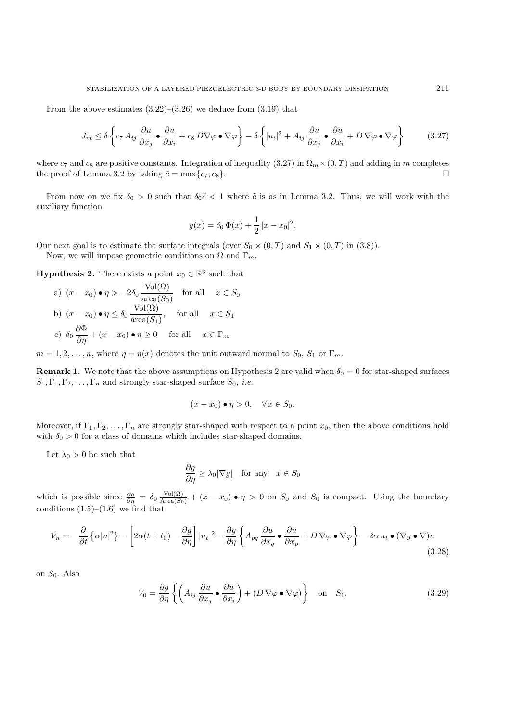From the above estimates  $(3.22)$ – $(3.26)$  we deduce from  $(3.19)$  that

$$
J_m \le \delta \left\{ c_7 A_{ij} \frac{\partial u}{\partial x_j} \bullet \frac{\partial u}{\partial x_i} + c_8 D \nabla \varphi \bullet \nabla \varphi \right\} - \delta \left\{ |u_t|^2 + A_{ij} \frac{\partial u}{\partial x_j} \bullet \frac{\partial u}{\partial x_i} + D \nabla \varphi \bullet \nabla \varphi \right\}
$$
(3.27)

where  $c_7$  and  $c_8$  are positive constants. Integration of inequality (3.27) in  $\Omega_m \times (0, T)$  and adding in m completes the proof of Lemma 3.2 by taking  $\tilde{c} = \max\{c_7, c_8\}$ the proof of Lemma 3.2 by taking  $\tilde{c} = \max\{c_7, c_8\}.$ 

From now on we fix  $\delta_0 > 0$  such that  $\delta_0 \tilde{c} < 1$  where  $\tilde{c}$  is as in Lemma 3.2. Thus, we will work with the auxiliary function

$$
g(x) = \delta_0 \Phi(x) + \frac{1}{2} |x - x_0|^2.
$$

Our next goal is to estimate the surface integrals (over  $S_0 \times (0,T)$  and  $S_1 \times (0,T)$  in (3.8)).

Now, we will impose geometric conditions on  $\Omega$  and  $\Gamma_m$ .

**Hypothesis 2.** There exists a point  $x_0 \in \mathbb{R}^3$  such that

a)  $(x - x_0) \bullet \eta > -2\delta_0 \frac{\text{Vol}(\Omega)}{\text{area}(S_0)}$  for all  $x \in S_0$ b)  $(x - x_0) \bullet \eta \leq \delta_0 \frac{\text{Vol}(\Omega)}{\text{Spec}(S)}$  $\frac{\text{res}(3)}{\text{area}(S_1)}$ , for all  $x \in S_1$ c)  $\delta_0 \frac{\partial \Phi}{\partial \eta} + (x - x_0) \bullet \eta \ge 0$  for all  $x \in \Gamma_m$ 

 $m = 1, 2, \ldots, n$ , where  $\eta = \eta(x)$  denotes the unit outward normal to  $S_0, S_1$  or  $\Gamma_m$ .

**Remark 1.** We note that the above assumptions on Hypothesis 2 are valid when  $\delta_0 = 0$  for star-shaped surfaces  $S_1, \Gamma_1, \Gamma_2, \ldots, \Gamma_n$  and strongly star-shaped surface  $S_0$ , *i.e.* 

$$
(x - x_0) \bullet \eta > 0, \quad \forall x \in S_0.
$$

Moreover, if  $\Gamma_1, \Gamma_2, \ldots, \Gamma_n$  are strongly star-shaped with respect to a point  $x_0$ , then the above conditions hold with  $\delta_0 > 0$  for a class of domains which includes star-shaped domains.

Let  $\lambda_0 > 0$  be such that

$$
\frac{\partial g}{\partial \eta} \ge \lambda_0 |\nabla g| \quad \text{for any} \quad x \in S_0
$$

which is possible since  $\frac{\partial g}{\partial \eta} = \delta_0 \frac{\text{Vol}(\Omega)}{\text{Area}(S_0)} + (x - x_0) \bullet \eta > 0$  on  $S_0$  and  $S_0$  is compact. Using the boundary conditions  $(1.5)$ – $(1.6)$  we find that

$$
V_n = -\frac{\partial}{\partial t} \left\{ \alpha |u|^2 \right\} - \left[ 2\alpha (t + t_0) - \frac{\partial g}{\partial \eta} \right] |u_t|^2 - \frac{\partial g}{\partial \eta} \left\{ A_{pq} \frac{\partial u}{\partial x_q} \bullet \frac{\partial u}{\partial x_p} + D \nabla \varphi \bullet \nabla \varphi \right\} - 2\alpha u_t \bullet (\nabla g \bullet \nabla) u \tag{3.28}
$$

on  $S_0$ . Also

$$
V_0 = \frac{\partial g}{\partial \eta} \left\{ \left( A_{ij} \frac{\partial u}{\partial x_j} \bullet \frac{\partial u}{\partial x_i} \right) + (D \nabla \varphi \bullet \nabla \varphi) \right\} \quad \text{on} \quad S_1. \tag{3.29}
$$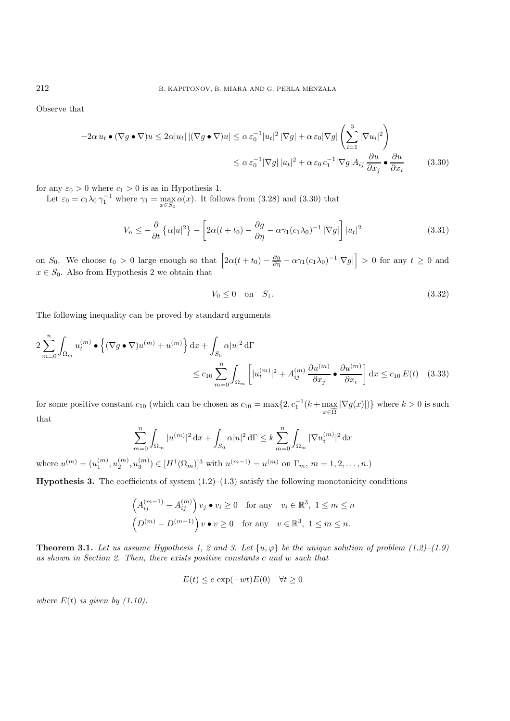Observe that

$$
-2\alpha u_t \bullet (\nabla g \bullet \nabla)u \le 2\alpha |u_t| |(\nabla g \bullet \nabla)u| \le \alpha \varepsilon_0^{-1} |u_t|^2 |\nabla g| + \alpha \varepsilon_0 |\nabla g| \left(\sum_{i=1}^3 |\nabla u_i|^2\right)
$$
  

$$
\le \alpha \varepsilon_0^{-1} |\nabla g| |u_t|^2 + \alpha \varepsilon_0 c_1^{-1} |\nabla g| A_{ij} \frac{\partial u}{\partial x_j} \bullet \frac{\partial u}{\partial x_i}
$$
(3.30)

for any  $\varepsilon_0 > 0$  where  $c_1 > 0$  is as in Hypothesis 1.

Let  $\varepsilon_0 = c_1 \lambda_0 \gamma_1^{-1}$  where  $\gamma_1 = \max_{\pi \in S}$  $\alpha(x)$ . It follows from (3.28) and (3.30) that

 $x \in S_0$ 

$$
V_n \leq -\frac{\partial}{\partial t} \left\{ \alpha |u|^2 \right\} - \left[ 2\alpha (t + t_0) - \frac{\partial g}{\partial \eta} - \alpha \gamma_1 (c_1 \lambda_0)^{-1} |\nabla g| \right] |u_t|^2 \tag{3.31}
$$

on  $S_0$ . We choose  $t_0 > 0$  large enough so that  $\left[2\alpha(t+t_0) - \frac{\partial g}{\partial \eta} - \alpha \gamma_1(c_1\lambda_0)^{-1}|\nabla g|\right] > 0$  for any  $t \ge 0$  and  $x \in S_0$ . Also from Hypothesis 2 we obtain that

$$
V_0 \le 0 \quad \text{on} \quad S_1. \tag{3.32}
$$

The following inequality can be proved by standard arguments

$$
2\sum_{m=0}^{n} \int_{\Omega_m} u_t^{(m)} \bullet \left\{ (\nabla g \bullet \nabla) u^{(m)} + u^{(m)} \right\} dx + \int_{S_0} \alpha |u|^2 d\Gamma
$$
  

$$
\leq c_{10} \sum_{m=0}^{n} \int_{\Omega_m} \left[ |u_t^{(m)}|^2 + A_{ij}^{(m)} \frac{\partial u^{(m)}}{\partial x_j} \bullet \frac{\partial u^{(m)}}{\partial x_i} \right] dx \leq c_{10} E(t) \quad (3.33)
$$

for some positive constant  $c_{10}$  (which can be chosen as  $c_{10} = \max\{2, c_1^{-1}(k + \max_{\overline{z}}\overline{z})\}$  $x \in \Omega$  $|\nabla g(x)|$ } where  $k > 0$  is such that

$$
\sum_{m=0}^n \int_{\Omega_m} |u^{(m)}|^2 \,\mathrm{d} x + \int_{S_0} \alpha |u|^2 \,\mathrm{d} \Gamma \le k \sum_{m=0}^n \int_{\Omega_m} |\nabla u_i^{(m)}|^2 \,\mathrm{d} x
$$

where  $u^{(m)} = (u_1^{(m)}, u_2^{(m)}, u_3^{(m)}) \in [H^1(\Omega_m)]^3$  with  $u^{(m-1)} = u^{(m)}$  on  $\Gamma_m$ ,  $m = 1, 2, ..., n$ .)

**Hypothesis 3.** The coefficients of system  $(1.2)$ – $(1.3)$  satisfy the following monotonicity conditions

$$
\left(A_{ij}^{(m-1)} - A_{ij}^{(m)}\right)v_j \bullet v_i \ge 0 \quad \text{for any} \quad v_i \in \mathbb{R}^3, \ 1 \le m \le n
$$

$$
\left(D^{(m)} - D^{(m-1)}\right)v \bullet v \ge 0 \quad \text{for any} \quad v \in \mathbb{R}^3, \ 1 \le m \le n.
$$

**Theorem 3.1.** *Let us assume Hypothesis 1, 2 and 3. Let*  $\{u, \varphi\}$  *be the unique solution of problem (1.2)–(1.9) as shown in Section 2. Then, there exists positive constants* c *and* w *such that*

$$
E(t) \le c \exp(-wt)E(0) \quad \forall t \ge 0
$$

*where*  $E(t)$  *is given by (1.10).*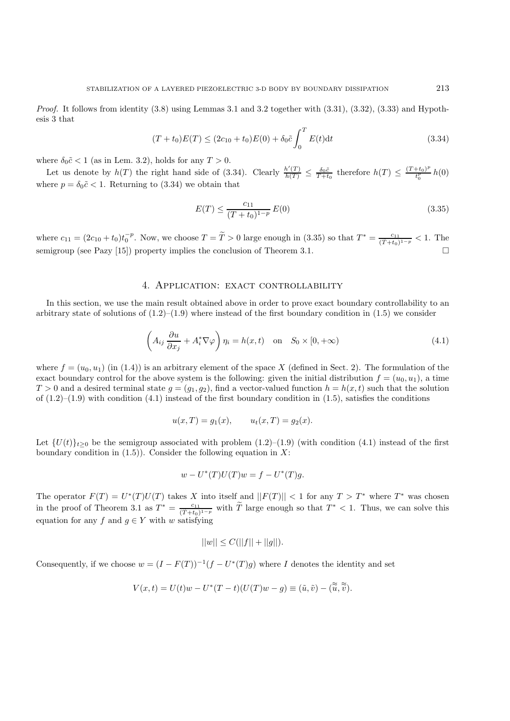*Proof.* It follows from identity  $(3.8)$  using Lemmas 3.1 and 3.2 together with  $(3.31)$ ,  $(3.32)$ ,  $(3.33)$  and Hypothesis 3 that

$$
(T + t_0)E(T) \le (2c_{10} + t_0)E(0) + \delta_0 \tilde{c} \int_0^T E(t)dt
$$
\n(3.34)

where  $\delta_0 \tilde{c} < 1$  (as in Lem. 3.2), holds for any  $T > 0$ .

Let us denote by  $h(T)$  the right hand side of (3.34). Clearly  $\frac{h'(T)}{h(T)} \leq \frac{\delta_0 \tilde{c}}{T+t_0}$  therefore  $h(T) \leq \frac{(T+t_0)^p}{t_0^p} h(0)$ where  $p = \delta_0 \tilde{c} < 1$ . Returning to (3.34) we obtain that

$$
E(T) \le \frac{c_{11}}{(T + t_0)^{1 - p}} E(0)
$$
\n(3.35)

where  $c_{11} = (2c_{10} + t_0)t_0^{-p}$ . Now, we choose  $T = T > 0$  large enough in (3.35) so that  $T^* = \frac{c_{11}}{(\tilde{T}+t_0)^{1-p}} < 1$ . The semigroup (see Pazy [15]) property implies the conclusion of Theorem 3.1.

### 4. APPLICATION: EXACT CONTROLLABILITY

In this section, we use the main result obtained above in order to prove exact boundary controllability to an arbitrary state of solutions of  $(1.2)$ – $(1.9)$  where instead of the first boundary condition in  $(1.5)$  we consider

$$
\left(A_{ij}\frac{\partial u}{\partial x_j} + A_i^* \nabla \varphi\right) \eta_i = h(x,t) \quad \text{on} \quad S_0 \times [0,+\infty)
$$
\n(4.1)

where  $f = (u_0, u_1)$  (in (1.4)) is an arbitrary element of the space X (defined in Sect. 2). The formulation of the exact boundary control for the above system is the following: given the initial distribution  $f = (u_0, u_1)$ , a time  $T > 0$  and a desired terminal state  $g = (g_1, g_2)$ , find a vector-valued function  $h = h(x, t)$  such that the solution of  $(1.2)$ – $(1.9)$  with condition  $(4.1)$  instead of the first boundary condition in  $(1.5)$ , satisfies the conditions

$$
u(x,T) = g_1(x),
$$
  $u_t(x,T) = g_2(x).$ 

Let  $\{U(t)\}_{t>0}$  be the semigroup associated with problem  $(1.2)–(1.9)$  (with condition  $(4.1)$  instead of the first boundary condition in  $(1.5)$ ). Consider the following equation in X:

$$
w - U^*(T)U(T)w = f - U^*(T)g.
$$

The operator  $F(T) = U^*(T)U(T)$  takes X into itself and  $||F(T)|| < 1$  for any  $T > T^*$  where  $T^*$  was chosen in the proof of Theorem 3.1 as  $T^* = \frac{c_{11}}{T(t_0)^{1-p}}$  with T large enough so that  $T^* < 1$ . Thus, we can solve this equation for any f and  $g \in Y$  with w satisfying

$$
||w|| \leq C(||f|| + ||g||).
$$

Consequently, if we choose  $w = (I - F(T))^{-1}(f - U^{*}(T)g)$  where I denotes the identity and set

$$
V(x,t) = U(t)w - U^*(T-t)(U(T)w - g) \equiv (\tilde{u}, \tilde{v}) - (\tilde{\tilde{u}}, \tilde{\tilde{v}}).
$$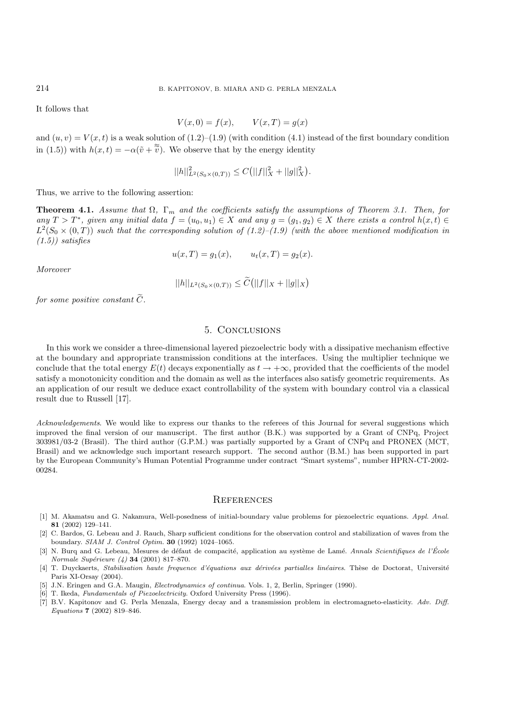It follows that

$$
V(x,0) = f(x), \qquad V(x,T) = g(x)
$$

and  $(u, v) = V(x, t)$  is a weak solution of  $(1.2)$ – $(1.9)$  (with condition  $(4.1)$  instead of the first boundary condition in (1.5)) with  $h(x,t) = -\alpha(\tilde{v} + \tilde{\tilde{v}})$ . We observe that by the energy identity

$$
||h||_{L^{2}(S_0 \times (0,T))}^{2} \leq C(||f||_{X}^{2} + ||g||_{X}^{2}).
$$

Thus, we arrive to the following assertion:

**Theorem 4.1.** *Assume that*  $\Omega$ ,  $\Gamma_m$  *and the coefficients satisfy the assumptions of Theorem 3.1. Then, for any*  $T > T^*$ , given any initial data  $f = (u_0, u_1) \in X$  and any  $g = (g_1, g_2) \in X$  there exists a control  $h(x, t) \in X$  $L^2(S_0 \times (0,T))$  *such that the corresponding solution of (1.2)–(1.9) (with the above mentioned modification in (1.5)) satisfies*

$$
u(x,T) = g_1(x),
$$
  $u_t(x,T) = g_2(x).$ 

*Moreover*

$$
||h||_{L^2(S_0 \times (0,T))} \leq C(||f||_X + ||g||_X)
$$

*for some positive constant*  $\widetilde{C}$ *.* 

## 5. Conclusions

In this work we consider a three-dimensional layered piezoelectric body with a dissipative mechanism effective at the boundary and appropriate transmission conditions at the interfaces. Using the multiplier technique we conclude that the total energy  $E(t)$  decays exponentially as  $t \to +\infty$ , provided that the coefficients of the model satisfy a monotonicity condition and the domain as well as the interfaces also satisfy geometric requirements. As an application of our result we deduce exact controllability of the system with boundary control via a classical result due to Russell [17].

*Acknowledgements*. We would like to express our thanks to the referees of this Journal for several suggestions which improved the final version of our manuscript. The first author (B.K.) was supported by a Grant of CNPq, Project 303981/03-2 (Brasil). The third author (G.P.M.) was partially supported by a Grant of CNPq and PRONEX (MCT, Brasil) and we acknowledge such important research support. The second author (B.M.) has been supported in part by the European Community's Human Potential Programme under contract "Smart systems", number HPRN-CT-2002- 00284.

#### **REFERENCES**

- [1] M. Akamatsu and G. Nakamura, Well-posedness of initial-boundary value problems for piezoelectric equations. Appl. Anal. **81** (2002) 129–141.
- [2] C. Bardos, G. Lebeau and J. Rauch, Sharp sufficient conditions for the observation control and stabilization of waves from the boundary. SIAM J. Control Optim. **30** (1992) 1024–1065.
- [3] N. Burq and G. Lebeau, Mesures de défaut de compacité, application au système de Lamé. Annals Scientifiques de l'École Normale Supérieure (4) **34** (2001) 817-870.
- [4] T. Duyckaerts, Stabilisation haute frequence d'équations aux dérivées partialles linéaires. Thèse de Doctorat, Université Paris XI-Orsay (2004).
- [5] J.N. Eringen and G.A. Maugin, Electrodynamics of continua. Vols. 1, 2, Berlin, Springer (1990).
- [6] T. Ikeda, Fundamentals of Piezoelectricity. Oxford University Press (1996).
- [7] B.V. Kapitonov and G. Perla Menzala, Energy decay and a transmission problem in electromagneto-elasticity. Adv. Diff. Equations **7** (2002) 819–846.